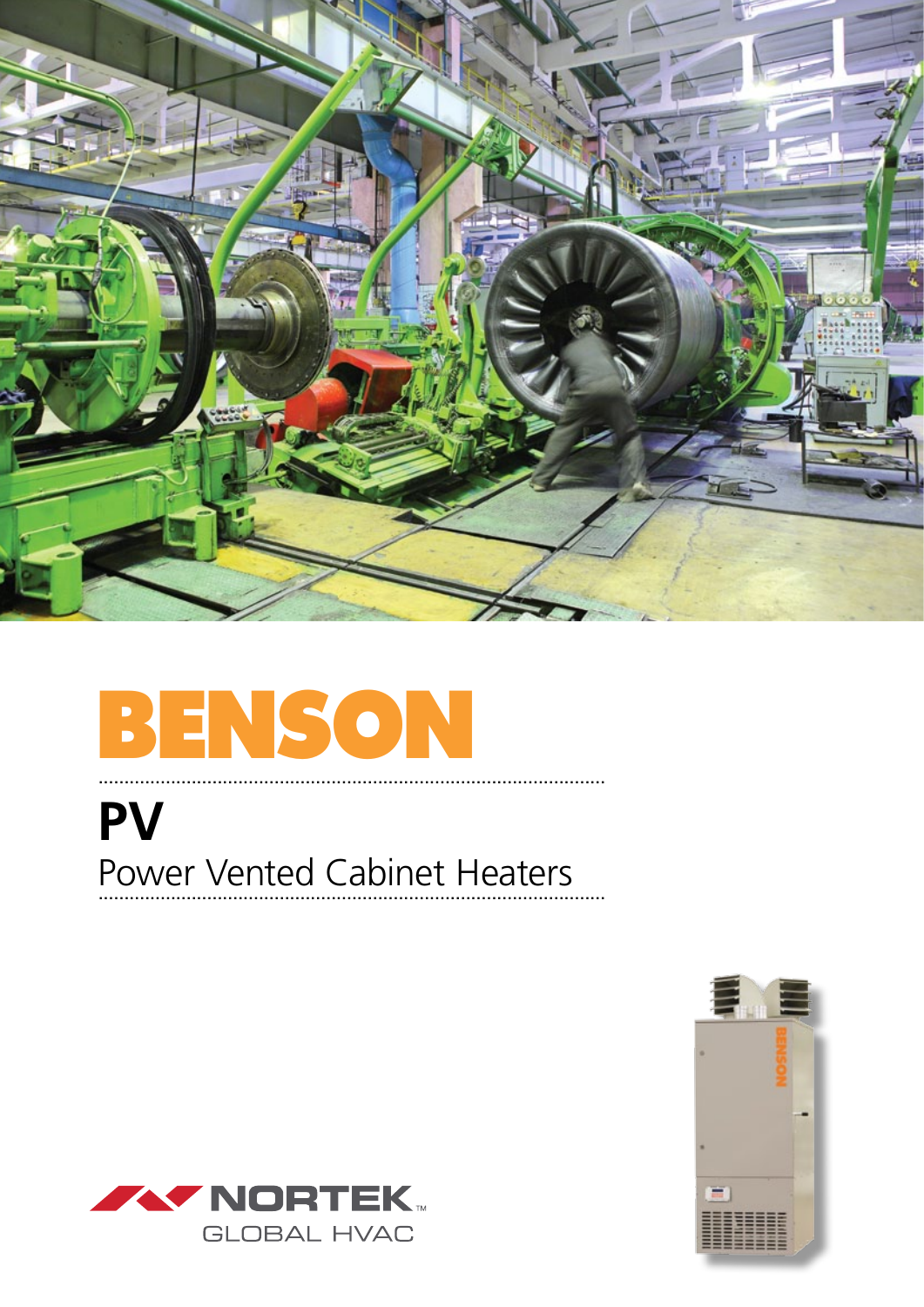

# BENSON

# **PV** Power Vented Cabinet Heaters



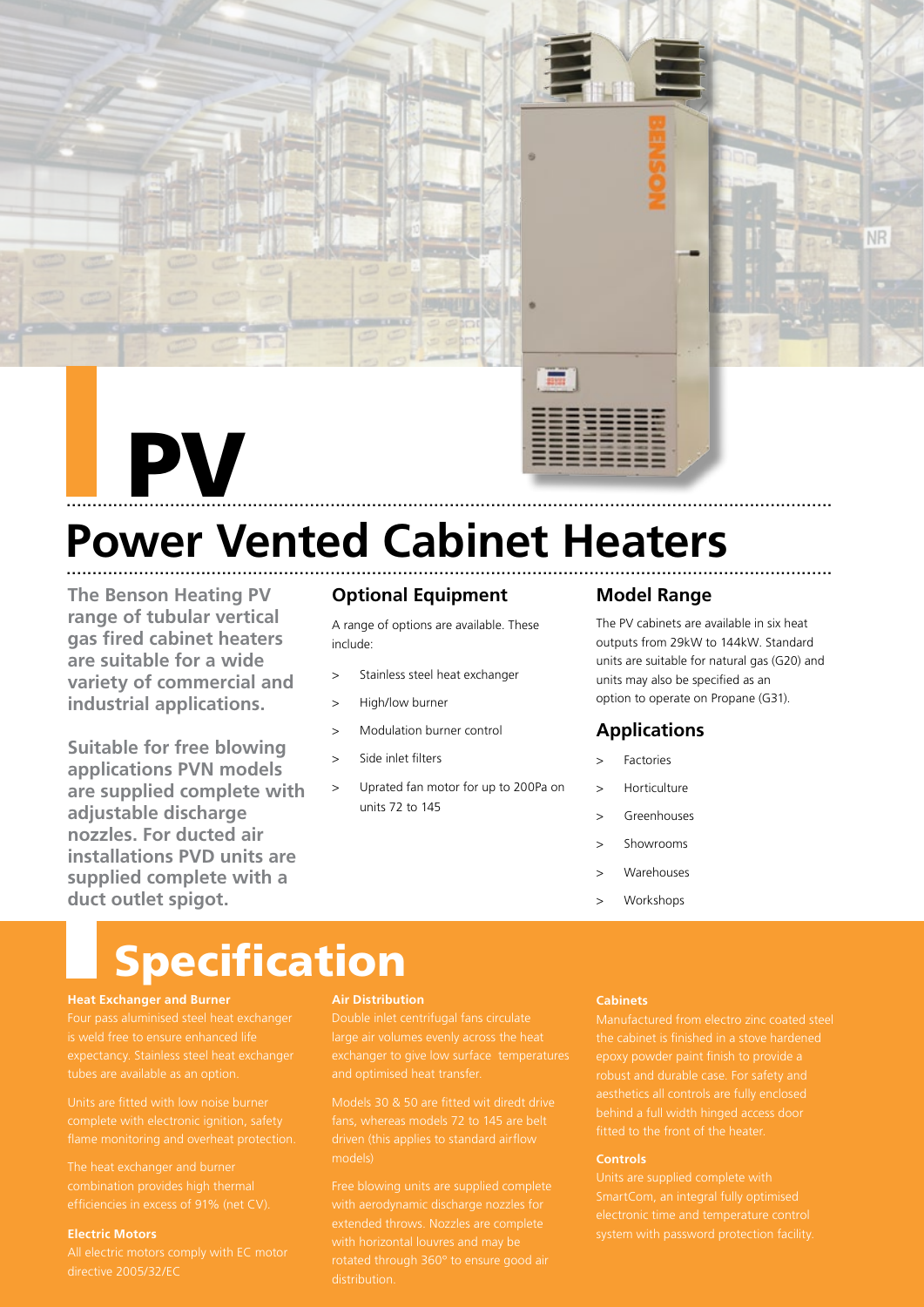

# .................................................................................................................................................... PV



# **Power Vented Cabinet Heaters** ....................................................................................................................................................

**The Benson Heating PV range of tubular vertical gas fired cabinet heaters are suitable for a wide variety of commercial and industrial applications.**

**Suitable for free blowing applications PVN models are supplied complete with adjustable discharge nozzles. For ducted air installations PVD units are supplied complete with a duct outlet spigot.**

## **Optional Equipment**

A range of options are available. These include:

- > Stainless steel heat exchanger
- > High/low burner
- > Modulation burner control
- Side inlet filters
- > Uprated fan motor for up to 200Pa on units 72 to 145

#### **Model Range**

The PV cabinets are available in six heat outputs from 29kW to 144kW. Standard units are suitable for natural gas (G20) and units may also be specified as an option to operate on Propane (G31).

### **Applications**

- **Factories**
- **Horticulture**
- > Greenhouses
- > Showrooms
- **Warehouses**
- > Workshops

# Specification

#### **Heat Exchanger and Burner**

Four pass aluminised steel heat exchanger

Units are fitted with low noise burner

The heat exchanger and burner

#### **Electric Motors**

directive 2005/32/EC

#### **Air Distribution**

Double inlet centrifugal fans circulate

Models 30 & 50 are fitted wit diredt drive fans, whereas models 72 to 145 are belt driven (this applies to standard airflow

Free blowing units are supplied complete extended throws. Nozzles are complete with horizontal louvres and may be rotated through 360º to ensure good air

#### **Cabinets**

Manufactured from electro zinc coated steel behind a full width hinged access door fitted to the front of the heater.

#### **Controls**

system with password protection facility.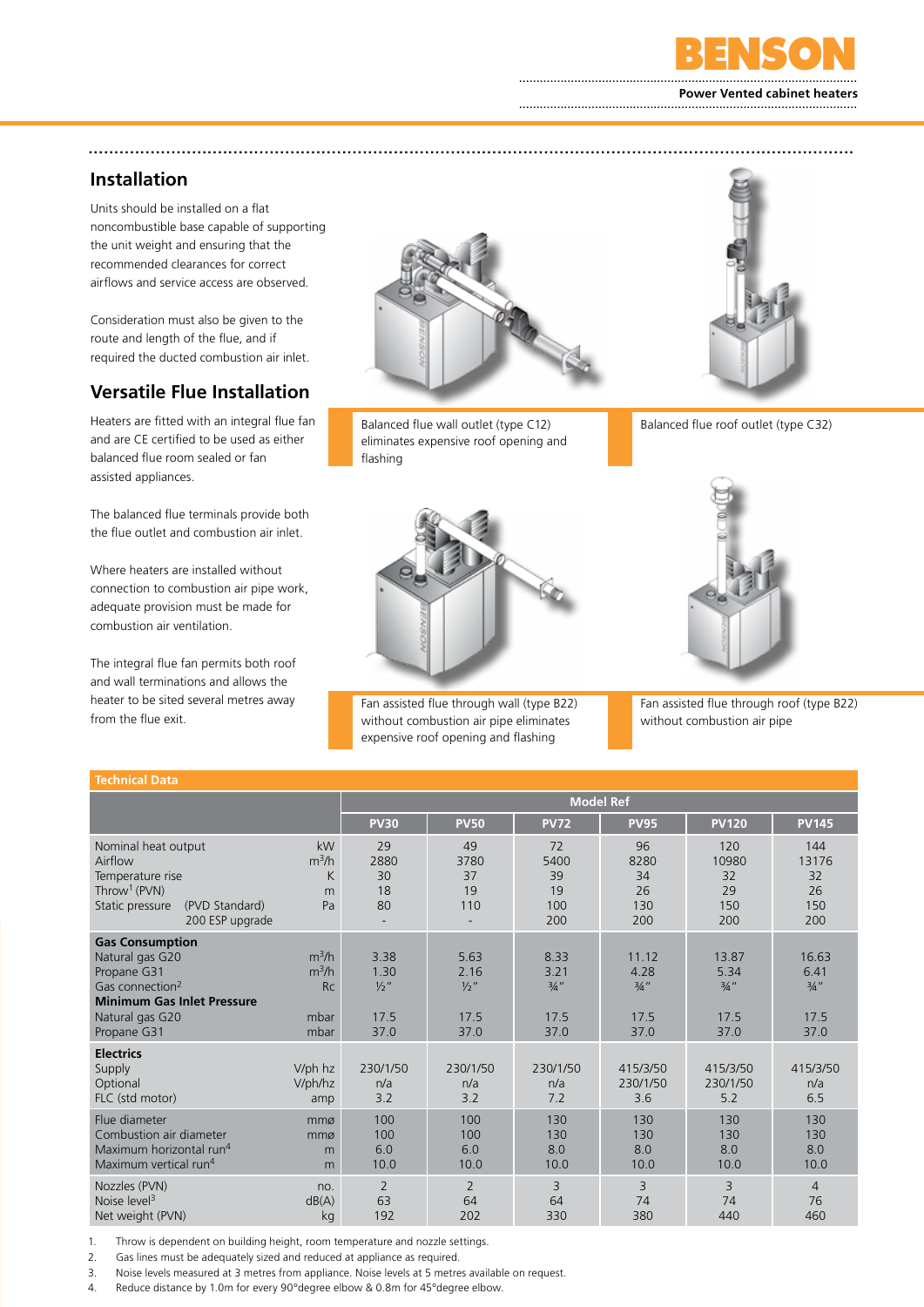

#### **Power Vented cabinet heaters** ..................................................................................................

## **Installation**

Units should be installed on a flat noncombustible base capable of supporting the unit weight and ensuring that the recommended clearances for correct airflows and service access are observed.

Consideration must also be given to the route and length of the flue, and if required the ducted combustion air inlet.

## **Versatile Flue Installation**

Heaters are fitted with an integral flue fan and are CE certified to be used as either balanced flue room sealed or fan assisted appliances.

The balanced flue terminals provide both the flue outlet and combustion air inlet.

Where heaters are installed without connection to combustion air pipe work, adequate provision must be made for combustion air ventilation.

The integral flue fan permits both roof and wall terminations and allows the heater to be sited several metres away from the flue exit.

**Technical Data**



....................................................................................................................................................

Balanced flue wall outlet (type C12) Balanced flue roof outlet (type C32) eliminates expensive roof opening and flashing



Fan assisted flue through wall (type B22) without combustion air pipe eliminates expensive roof opening and flashing





Fan assisted flue through roof (type B22) without combustion air pipe

|                                                                                                                                                                |                                                 | <b>Model Ref</b>                                |                                                                                            |                                      |                                                  |                                                  |                                                  |  |
|----------------------------------------------------------------------------------------------------------------------------------------------------------------|-------------------------------------------------|-------------------------------------------------|--------------------------------------------------------------------------------------------|--------------------------------------|--------------------------------------------------|--------------------------------------------------|--------------------------------------------------|--|
|                                                                                                                                                                |                                                 | <b>PV30</b>                                     | <b>PV50</b>                                                                                | <b>PV72</b>                          | <b>PV95</b>                                      | <b>PV120</b>                                     | <b>PV145</b>                                     |  |
| Nominal heat output<br>Airflow<br>Temperature rise<br>Throw <sup>1</sup> ( $PVN$ )<br>Static pressure<br>(PVD Standard)<br>200 ESP upgrade                     | kW<br>$m^3/h$<br>K<br>m<br>Pa                   | 29<br>2880<br>30<br>18<br>80                    | 49<br>3780<br>37<br>19<br>110                                                              | 72<br>5400<br>39<br>19<br>100<br>200 | 96<br>8280<br>34<br>26<br>130<br>200             | 120<br>10980<br>32<br>29<br>150<br>200           |                                                  |  |
| <b>Gas Consumption</b><br>Natural gas G20<br>Propane G31<br>Gas connection <sup>2</sup><br><b>Minimum Gas Inlet Pressure</b><br>Natural gas G20<br>Propane G31 | $m^3/h$<br>$m^3/h$<br><b>Rc</b><br>mbar<br>mbar | 3.38<br>1.30<br>$\frac{1}{2}$ "<br>17.5<br>37.0 | 5.63<br>8.33<br>2.16<br>3.21<br>$\frac{1}{2}$ "<br>$3/4$ "<br>17.5<br>17.5<br>37.0<br>37.0 |                                      | 11.12<br>4.28<br>$\frac{3}{4}$ "<br>17.5<br>37.0 | 13.87<br>5.34<br>$\frac{3}{4}$ "<br>17.5<br>37.0 | 16.63<br>6.41<br>$\frac{3}{4}$ "<br>17.5<br>37.0 |  |
| <b>Electrics</b><br>Supply<br>Optional<br>FLC (std motor)                                                                                                      | V/ph hz<br>V/ph/hz<br>amp                       | 230/1/50<br>n/a<br>3.2                          | 230/1/50<br>n/a<br>3.2                                                                     | 230/1/50<br>n/a<br>7.2               | 415/3/50<br>230/1/50<br>3.6                      | 415/3/50<br>230/1/50<br>5.2                      | 415/3/50<br>n/a<br>6.5                           |  |
| Flue diameter<br>Combustion air diameter<br>Maximum horizontal run <sup>4</sup><br>Maximum vertical run <sup>4</sup>                                           | mmø<br>mmø<br>m<br>m                            | 100<br>100<br>6.0<br>10.0                       | 100<br>100<br>6.0<br>10.0                                                                  | 130<br>130<br>8.0<br>10.0            | 130<br>130<br>8.0<br>10.0                        | 130<br>130<br>8.0<br>10.0                        | 130<br>130<br>8.0<br>10.0                        |  |
| Nozzles (PVN)<br>Noise level <sup>3</sup><br>Net weight (PVN)                                                                                                  | no.<br>dB(A)<br>kg                              | $\overline{2}$<br>63<br>192                     | $\overline{2}$<br>64<br>202                                                                | 3<br>64<br>330                       | 3<br>74<br>380                                   | 3<br>74<br>440                                   | $\overline{4}$<br>76<br>460                      |  |

1. Throw is dependent on building height, room temperature and nozzle settings.

2. Gas lines must be adequately sized and reduced at appliance as required.

3. Noise levels measured at 3 metres from appliance. Noise levels at 5 metres available on request.

4. Reduce distance by 1.0m for every 90°degree elbow & 0.8m for 45°degree elbow.